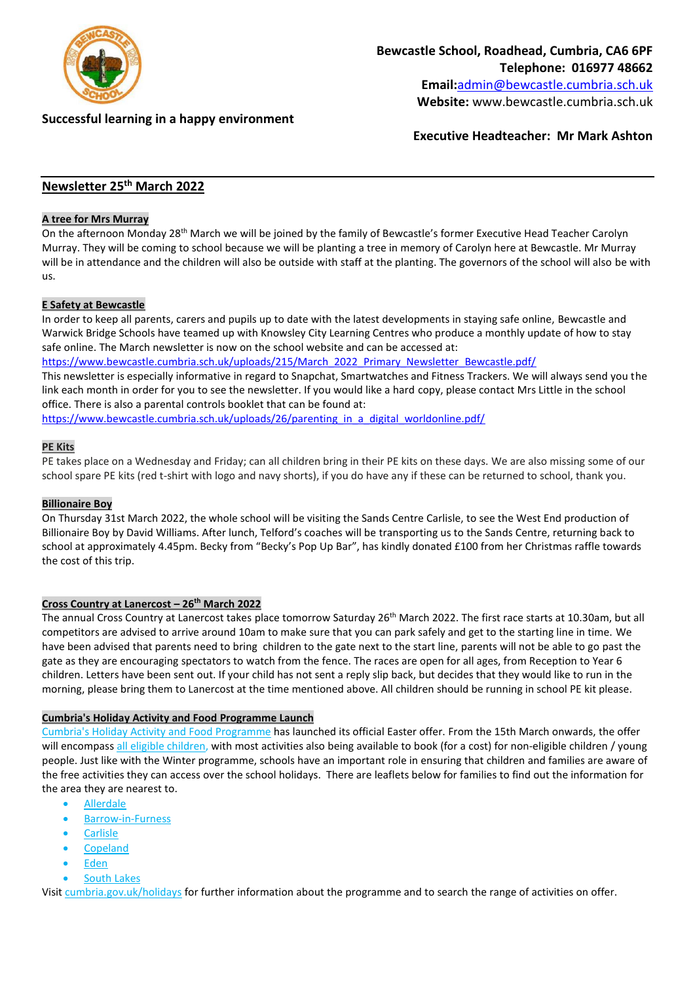

## **Successful learning in a happy environment**

**Website:** www.bewcastle.cumbria.sch.uk

**Executive Headteacher: Mr Mark Ashton**

# **Newsletter 25 th March 2022**

### **A tree for Mrs Murray**

On the afternoon Monday 28<sup>th</sup> March we will be joined by the family of Bewcastle's former Executive Head Teacher Carolyn Murray. They will be coming to school because we will be planting a tree in memory of Carolyn here at Bewcastle. Mr Murray will be in attendance and the children will also be outside with staff at the planting. The governors of the school will also be with us.

#### **E Safety at Bewcastle**

In order to keep all parents, carers and pupils up to date with the latest developments in staying safe online, Bewcastle and Warwick Bridge Schools have teamed up with Knowsley City Learning Centres who produce a monthly update of how to stay safe online. The March newsletter is now on the school website and can be accessed at:

[https://www.bewcastle.cumbria.sch.uk/uploads/215/March\\_2022\\_Primary\\_Newsletter\\_Bewcastle.pdf/](https://www.bewcastle.cumbria.sch.uk/uploads/215/March_2022_Primary_Newsletter_Bewcastle.pdf/)

This newsletter is especially informative in regard to Snapchat, Smartwatches and Fitness Trackers. We will always send you the link each month in order for you to see the newsletter. If you would like a hard copy, please contact Mrs Little in the school office. There is also a parental controls booklet that can be found at:

[https://www.bewcastle.cumbria.sch.uk/uploads/26/parenting\\_in\\_a\\_digital\\_worldonline.pdf/](https://www.bewcastle.cumbria.sch.uk/uploads/26/parenting_in_a_digital_worldonline.pdf/)

## **PE Kits**

PE takes place on a Wednesday and Friday; can all children bring in their PE kits on these days. We are also missing some of our school spare PE kits (red t-shirt with logo and navy shorts), if you do have any if these can be returned to school, thank you.

#### **Billionaire Boy**

On Thursday 31st March 2022, the whole school will be visiting the Sands Centre Carlisle, to see the West End production of Billionaire Boy by David Williams. After lunch, Telford's coaches will be transporting us to the Sands Centre, returning back to school at approximately 4.45pm. Becky from "Becky's Pop Up Bar", has kindly donated £100 from her Christmas raffle towards the cost of this trip.

#### **Cross Country at Lanercost – 26th March 2022**

The annual Cross Country at Lanercost takes place tomorrow Saturday 26<sup>th</sup> March 2022. The first race starts at 10.30am, but all competitors are advised to arrive around 10am to make sure that you can park safely and get to the starting line in time. We have been advised that parents need to bring children to the gate next to the start line, parents will not be able to go past the gate as they are encouraging spectators to watch from the fence. The races are open for all ages, from Reception to Year 6 children. Letters have been sent out. If your child has not sent a reply slip back, but decides that they would like to run in the morning, please bring them to Lanercost at the time mentioned above. All children should be running in school PE kit please.

#### **Cumbria's Holiday Activity and Food Programme Launch**

Cumbria's Holiday Activity and Food [Programme](https://lnks.gd/l/eyJhbGciOiJIUzI1NiJ9.eyJidWxsZXRpbl9saW5rX2lkIjoxMDQsInVyaSI6ImJwMjpjbGljayIsImJ1bGxldGluX2lkIjoiMjAyMjAzMTAuNTQ2OTg5OTEiLCJ1cmwiOiJodHRwczovL3d3dy5jdW1icmlhLmdvdi51ay9jaGlsZHJlbnNzZXJ2aWNlcy9jaGlsZHJlbmFuZGZhbWlsaWVzL2NmaXMvaG9saWRheWFjdGl2aXR5L2hvbGlkYXlhY3Rpdml0aWVzLmFzcCJ9.ywrRYZ3k1jfZVO_1ZKhLCiMkfrlOlQPabw1d_8x1fIw/s/2141710407/br/127887356448-l) has launched its official Easter offer. From the 15th March onwards, the offer will encompass all eligible [children,](https://lnks.gd/l/eyJhbGciOiJIUzI1NiJ9.eyJidWxsZXRpbl9saW5rX2lkIjoxMDUsInVyaSI6ImJwMjpjbGljayIsImJ1bGxldGluX2lkIjoiMjAyMjAzMTAuNTQ2OTg5OTEiLCJ1cmwiOiJodHRwczovL2NvbnRlbnQuZ292ZGVsaXZlcnkuY29tL2F0dGFjaG1lbnRzL1VLQ0NDLzIwMjIvMDMvMTAvZmlsZV9hdHRhY2htZW50cy8yMDk5MTgzL0N1bWJyaWElMjdzJTIwSG9saWRheSUyMEFjdGl2aXR5JTIwYW5kJTIwRm9vZCUyMFByb2dyYW1tZSUyMEVsaWdpYmlsaXR5LnBkZiJ9.6zc_8G3TftO70FxMEvHR1kW3bXkGhByNX7dskcrTcfY/s/2141710407/br/127887356448-l) with most activities also being available to book (for a cost) for non-eligible children / young people. Just like with the Winter programme, schools have an important role in ensuring that children and families are aware of the free activities they can access over the school holidays. There are leaflets below for families to find out the information for the area they are nearest to.

- [Allerdale](https://lnks.gd/l/eyJhbGciOiJIUzI1NiJ9.eyJidWxsZXRpbl9saW5rX2lkIjoxMDYsInVyaSI6ImJwMjpjbGljayIsImJ1bGxldGluX2lkIjoiMjAyMjAzMTAuNTQ2OTg5OTEiLCJ1cmwiOiJodHRwczovL2NvbnRlbnQuZ292ZGVsaXZlcnkuY29tL2F0dGFjaG1lbnRzL1VLQ0NDLzIwMjIvMDMvMTAvZmlsZV9hdHRhY2htZW50cy8yMDk5MTk5L0hvbGlkYXklMjBBY3Rpdml0eSUyMExlYWZsZXQlMjBBbGxlcmRhbGUucGRmIn0.2rNFkG5B7PLkVe7w2GVFOVjOwdi9gvMt2wVxw2r-u3o/s/2141710407/br/127887356448-l)
- [Barrow-in-Furness](https://lnks.gd/l/eyJhbGciOiJIUzI1NiJ9.eyJidWxsZXRpbl9saW5rX2lkIjoxMDcsInVyaSI6ImJwMjpjbGljayIsImJ1bGxldGluX2lkIjoiMjAyMjAzMTAuNTQ2OTg5OTEiLCJ1cmwiOiJodHRwczovL2NvbnRlbnQuZ292ZGVsaXZlcnkuY29tL2F0dGFjaG1lbnRzL1VLQ0NDLzIwMjIvMDMvMTAvZmlsZV9hdHRhY2htZW50cy8yMDk5MjI0L0hvbGlkYXklMjBBY3Rpdml0eSUyMExlYWZsZXQlMjBCYXJyb3cucGRmIn0.jVL0vBICVNGMjHtSGoJu_QBYy-46AxNw1aKelknAJnU/s/2141710407/br/127887356448-l)
- **[Carlisle](https://lnks.gd/l/eyJhbGciOiJIUzI1NiJ9.eyJidWxsZXRpbl9saW5rX2lkIjoxMDgsInVyaSI6ImJwMjpjbGljayIsImJ1bGxldGluX2lkIjoiMjAyMjAzMTAuNTQ2OTg5OTEiLCJ1cmwiOiJodHRwczovL2NvbnRlbnQuZ292ZGVsaXZlcnkuY29tL2F0dGFjaG1lbnRzL1VLQ0NDLzIwMjIvMDMvMTAvZmlsZV9hdHRhY2htZW50cy8yMDk5MjI1L0hvbGlkYXklMjBBY3Rpdml0eSUyMExlYWZsZXQlMjBDYXJsaXNsZS5wZGYifQ.AtbkqARNX8j8aOl7zxsjWIhS87tCes81LkJwQZtjkaY/s/2141710407/br/127887356448-l)**
- **[Copeland](https://lnks.gd/l/eyJhbGciOiJIUzI1NiJ9.eyJidWxsZXRpbl9saW5rX2lkIjoxMDksInVyaSI6ImJwMjpjbGljayIsImJ1bGxldGluX2lkIjoiMjAyMjAzMTAuNTQ2OTg5OTEiLCJ1cmwiOiJodHRwczovL2NvbnRlbnQuZ292ZGVsaXZlcnkuY29tL2F0dGFjaG1lbnRzL1VLQ0NDLzIwMjIvMDMvMTAvZmlsZV9hdHRhY2htZW50cy8yMDk5MjAxL0hvbGlkYXklMjBBY3Rpdml0eSUyMExlYWZsZXQlMjBDb3BlbGFuZC5wZGYifQ.umU4Z3zPsB8Bk87t_Di3qd7simMBVGJ9SuIzftVKwGI/s/2141710407/br/127887356448-l)**
- [Eden](https://lnks.gd/l/eyJhbGciOiJIUzI1NiJ9.eyJidWxsZXRpbl9saW5rX2lkIjoxMTAsInVyaSI6ImJwMjpjbGljayIsImJ1bGxldGluX2lkIjoiMjAyMjAzMTAuNTQ2OTg5OTEiLCJ1cmwiOiJodHRwczovL2NvbnRlbnQuZ292ZGVsaXZlcnkuY29tL2F0dGFjaG1lbnRzL1VLQ0NDLzIwMjIvMDMvMTAvZmlsZV9hdHRhY2htZW50cy8yMDk5MjI2L0hvbGlkYXklMjBBY3Rpdml0eSUyMExlYWZsZXQlMjBFZGVuLnBkZiJ9.dqD2hHK8uNzDOiW9MRrALlLXC6wBKdEeemq8aa_jvw4/s/2141710407/br/127887356448-l)
- [South](https://lnks.gd/l/eyJhbGciOiJIUzI1NiJ9.eyJidWxsZXRpbl9saW5rX2lkIjoxMTEsInVyaSI6ImJwMjpjbGljayIsImJ1bGxldGluX2lkIjoiMjAyMjAzMTAuNTQ2OTg5OTEiLCJ1cmwiOiJodHRwczovL2NvbnRlbnQuZ292ZGVsaXZlcnkuY29tL2F0dGFjaG1lbnRzL1VLQ0NDLzIwMjIvMDMvMTAvZmlsZV9hdHRhY2htZW50cy8yMDk5MjAyL0hvbGlkYXklMjBBY3Rpdml0eSUyMExlYWZsZXQlMjBTb3V0aCUyMExha2VsYW5kLnBkZiJ9.O11HwK0JLkAE1aeptnKtDLNsLN6NfSS_5JSM4XEuvew/s/2141710407/br/127887356448-l) Lakes

Visit [cumbria.gov.uk/holidays](https://lnks.gd/l/eyJhbGciOiJIUzI1NiJ9.eyJidWxsZXRpbl9saW5rX2lkIjoxMTIsInVyaSI6ImJwMjpjbGljayIsImJ1bGxldGluX2lkIjoiMjAyMjAzMTAuNTQ2OTg5OTEiLCJ1cmwiOiJodHRwczovL2N1bWJyaWEuZ292LnVrL2NoaWxkcmVuc3NlcnZpY2VzL2NoaWxkcmVuYW5kZmFtaWxpZXMvY2Zpcy9ob2xpZGF5YWN0aXZpdHkvaG9saWRheWFjdGl2aXRpZXMuYXNwIn0.5oT4Qspi7GcK-mzeQ-Ytpq6bUBep0oooy0GdoPLig68/s/2141710407/br/127887356448-l) for further information about the programme and to search the range of activities on offer.